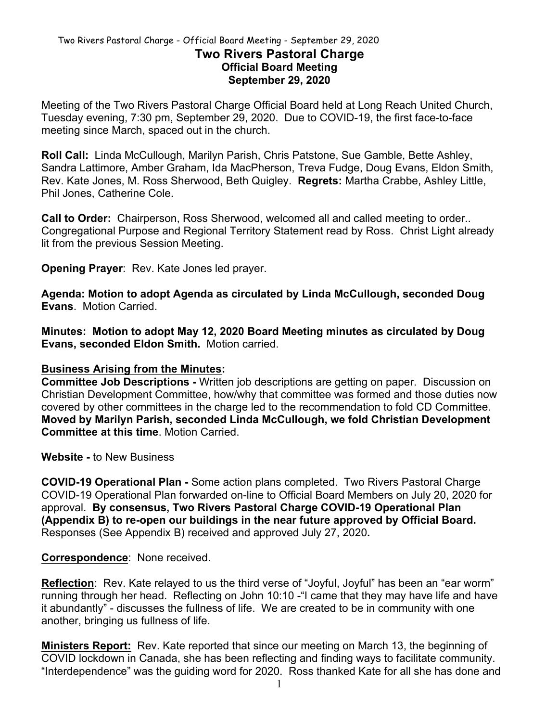### Two Rivers Pastoral Charge - Official Board Meeting - September 29, 2020 **Two Rivers Pastoral Charge Official Board Meeting September 29, 2020**

Meeting of the Two Rivers Pastoral Charge Official Board held at Long Reach United Church, Tuesday evening, 7:30 pm, September 29, 2020. Due to COVID-19, the first face-to-face meeting since March, spaced out in the church.

**Roll Call:** Linda McCullough, Marilyn Parish, Chris Patstone, Sue Gamble, Bette Ashley, Sandra Lattimore, Amber Graham, Ida MacPherson, Treva Fudge, Doug Evans, Eldon Smith, Rev. Kate Jones, M. Ross Sherwood, Beth Quigley. **Regrets:** Martha Crabbe, Ashley Little, Phil Jones, Catherine Cole.

**Call to Order:** Chairperson, Ross Sherwood, welcomed all and called meeting to order.. Congregational Purpose and Regional Territory Statement read by Ross. Christ Light already lit from the previous Session Meeting.

**Opening Prayer**: Rev. Kate Jones led prayer.

**Agenda: Motion to adopt Agenda as circulated by Linda McCullough, seconded Doug Evans**. Motion Carried.

**Minutes: Motion to adopt May 12, 2020 Board Meeting minutes as circulated by Doug Evans, seconded Eldon Smith.** Motion carried.

### **Business Arising from the Minutes:**

**Committee Job Descriptions -** Written job descriptions are getting on paper. Discussion on Christian Development Committee, how/why that committee was formed and those duties now covered by other committees in the charge led to the recommendation to fold CD Committee. **Moved by Marilyn Parish, seconded Linda McCullough, we fold Christian Development Committee at this time**. Motion Carried.

**Website -** to New Business

**COVID-19 Operational Plan -** Some action plans completed. Two Rivers Pastoral Charge COVID-19 Operational Plan forwarded on-line to Official Board Members on July 20, 2020 for approval. **By consensus, Two Rivers Pastoral Charge COVID-19 Operational Plan (Appendix B) to re-open our buildings in the near future approved by Official Board.**  Responses (See Appendix B) received and approved July 27, 2020**.**

### **Correspondence**: None received.

**Reflection**: Rev. Kate relayed to us the third verse of "Joyful, Joyful" has been an "ear worm" running through her head. Reflecting on John 10:10 -"I came that they may have life and have it abundantly" - discusses the fullness of life. We are created to be in community with one another, bringing us fullness of life.

**Ministers Report:** Rev. Kate reported that since our meeting on March 13, the beginning of COVID lockdown in Canada, she has been reflecting and finding ways to facilitate community. "Interdependence" was the guiding word for 2020. Ross thanked Kate for all she has done and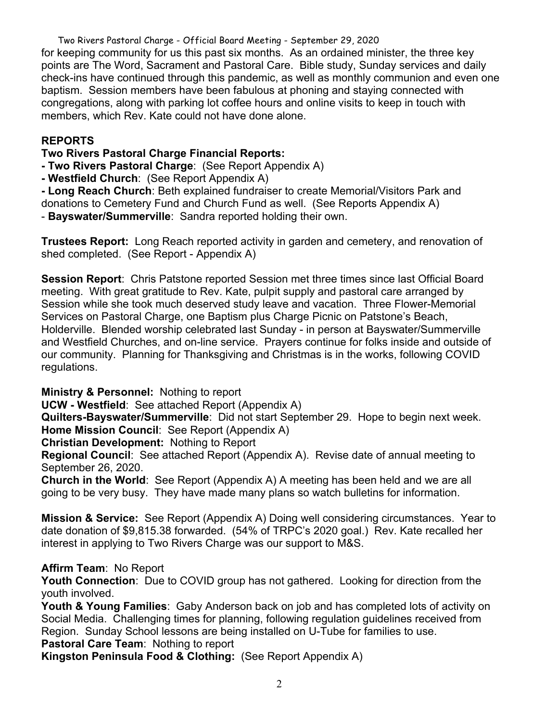Two Rivers Pastoral Charge - Official Board Meeting - September 29, 2020 for keeping community for us this past six months. As an ordained minister, the three key points are The Word, Sacrament and Pastoral Care. Bible study, Sunday services and daily check-ins have continued through this pandemic, as well as monthly communion and even one baptism. Session members have been fabulous at phoning and staying connected with congregations, along with parking lot coffee hours and online visits to keep in touch with members, which Rev. Kate could not have done alone.

## **REPORTS**

**Two Rivers Pastoral Charge Financial Reports:** 

**- Two Rivers Pastoral Charge**: (See Report Appendix A)

**- Westfield Church**: (See Report Appendix A)

**- Long Reach Church**: Beth explained fundraiser to create Memorial/Visitors Park and donations to Cemetery Fund and Church Fund as well. (See Reports Appendix A)

- **Bayswater/Summerville**: Sandra reported holding their own.

**Trustees Report:** Long Reach reported activity in garden and cemetery, and renovation of shed completed. (See Report - Appendix A)

**Session Report**: Chris Patstone reported Session met three times since last Official Board meeting. With great gratitude to Rev. Kate, pulpit supply and pastoral care arranged by Session while she took much deserved study leave and vacation. Three Flower-Memorial Services on Pastoral Charge, one Baptism plus Charge Picnic on Patstone's Beach, Holderville. Blended worship celebrated last Sunday - in person at Bayswater/Summerville and Westfield Churches, and on-line service. Prayers continue for folks inside and outside of our community. Planning for Thanksgiving and Christmas is in the works, following COVID regulations.

**Ministry & Personnel:** Nothing to report

**UCW - Westfield**: See attached Report (Appendix A)

**Quilters-Bayswater/Summerville**: Did not start September 29. Hope to begin next week. **Home Mission Council**: See Report (Appendix A)

**Christian Development:** Nothing to Report

**Regional Council**: See attached Report (Appendix A). Revise date of annual meeting to September 26, 2020.

**Church in the World**: See Report (Appendix A) A meeting has been held and we are all going to be very busy. They have made many plans so watch bulletins for information.

**Mission & Service:** See Report (Appendix A) Doing well considering circumstances. Year to date donation of \$9,815.38 forwarded. (54% of TRPC's 2020 goal.) Rev. Kate recalled her interest in applying to Two Rivers Charge was our support to M&S.

# **Affirm Team**: No Report

**Youth Connection**: Due to COVID group has not gathered. Looking for direction from the youth involved.

**Youth & Young Families**: Gaby Anderson back on job and has completed lots of activity on Social Media. Challenging times for planning, following regulation guidelines received from Region. Sunday School lessons are being installed on U-Tube for families to use. **Pastoral Care Team**: Nothing to report

**Kingston Peninsula Food & Clothing:** (See Report Appendix A)